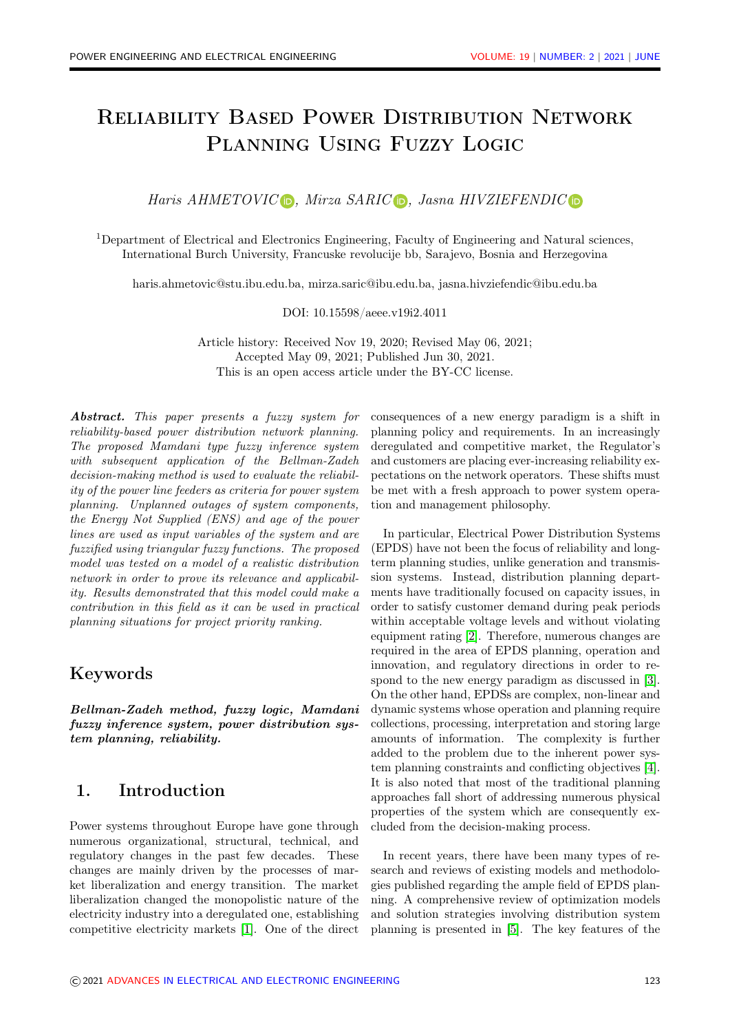# Reliability Based Power Distribution Network Planning Using Fuzzy Logic

Haris AHMETOVIC  $\triangleright$ [,](https://orcid.org/0000-0003-2714-5499) Mirza SARIC  $\triangleright$ , Jasna HIVZIEFENDIC  $\triangleright$ 

<sup>1</sup>Department of Electrical and Electronics Engineering, Faculty of Engineering and Natural sciences, International Burch University, Francuske revolucije bb, Sarajevo, Bosnia and Herzegovina

haris.ahmetovic@stu.ibu.edu.ba, mirza.saric@ibu.edu.ba, jasna.hivziefendic@ibu.edu.ba

DOI: 10.15598/aeee.v19i2.4011

Article history: Received Nov 19, 2020; Revised May 06, 2021; Accepted May 09, 2021; Published Jun 30, 2021. This is an open access article under the [BY-CC license.](https://creativecommons.org/licenses/by/4.0/)

Abstract. This paper presents a fuzzy system for reliability-based power distribution network planning. The proposed Mamdani type fuzzy inference system with subsequent application of the Bellman-Zadeh decision-making method is used to evaluate the reliability of the power line feeders as criteria for power system planning. Unplanned outages of system components, the Energy Not Supplied (ENS) and age of the power lines are used as input variables of the system and are fuzzified using triangular fuzzy functions. The proposed model was tested on a model of a realistic distribution network in order to prove its relevance and applicability. Results demonstrated that this model could make a contribution in this field as it can be used in practical planning situations for project priority ranking.

### Keywords

Bellman-Zadeh method, fuzzy logic, Mamdani fuzzy inference system, power distribution system planning, reliability.

### 1. Introduction

Power systems throughout Europe have gone through numerous organizational, structural, technical, and regulatory changes in the past few decades. These changes are mainly driven by the processes of market liberalization and energy transition. The market liberalization changed the monopolistic nature of the electricity industry into a deregulated one, establishing competitive electricity markets [\[1\]](#page-8-0). One of the direct

consequences of a new energy paradigm is a shift in planning policy and requirements. In an increasingly deregulated and competitive market, the Regulator's and customers are placing ever-increasing reliability expectations on the network operators. These shifts must be met with a fresh approach to power system operation and management philosophy.

In particular, Electrical Power Distribution Systems (EPDS) have not been the focus of reliability and longterm planning studies, unlike generation and transmission systems. Instead, distribution planning departments have traditionally focused on capacity issues, in order to satisfy customer demand during peak periods within acceptable voltage levels and without violating equipment rating [\[2\]](#page-8-1). Therefore, numerous changes are required in the area of EPDS planning, operation and innovation, and regulatory directions in order to respond to the new energy paradigm as discussed in [\[3\]](#page-8-2). On the other hand, EPDSs are complex, non-linear and dynamic systems whose operation and planning require collections, processing, interpretation and storing large amounts of information. The complexity is further added to the problem due to the inherent power system planning constraints and conflicting objectives [\[4\]](#page-8-3). It is also noted that most of the traditional planning approaches fall short of addressing numerous physical properties of the system which are consequently excluded from the decision-making process.

In recent years, there have been many types of research and reviews of existing models and methodologies published regarding the ample field of EPDS planning. A comprehensive review of optimization models and solution strategies involving distribution system planning is presented in [\[5\]](#page-8-4). The key features of the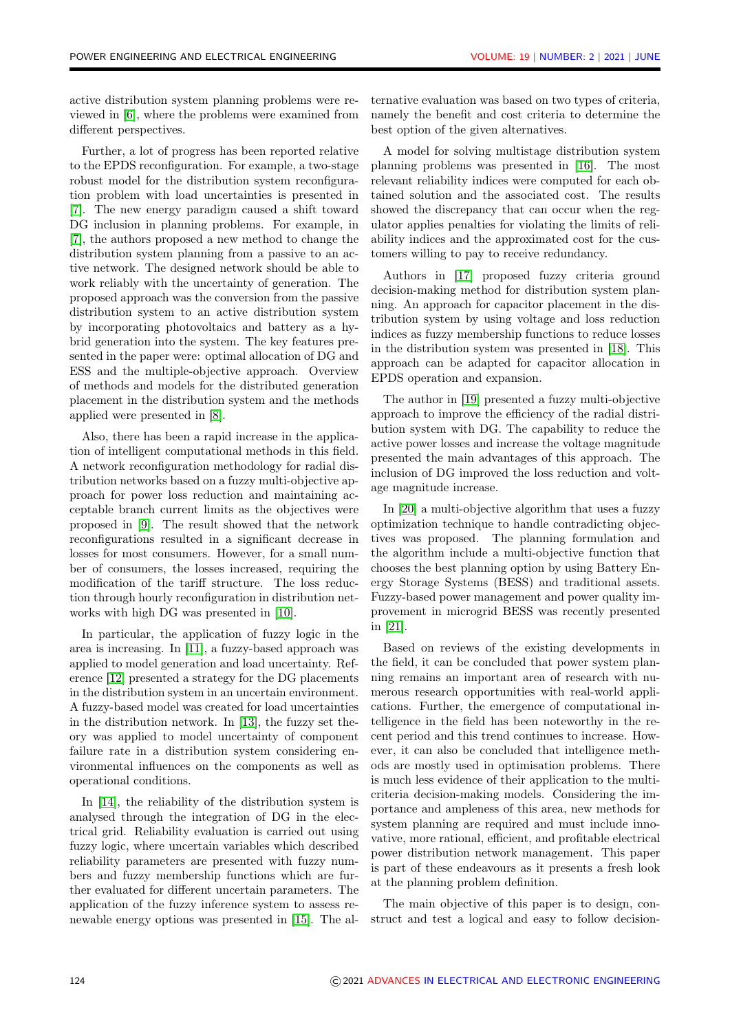active distribution system planning problems were reviewed in [\[6\]](#page-8-5), where the problems were examined from different perspectives.

Further, a lot of progress has been reported relative to the EPDS reconfiguration. For example, a two-stage robust model for the distribution system reconfiguration problem with load uncertainties is presented in [\[7\]](#page-8-6). The new energy paradigm caused a shift toward DG inclusion in planning problems. For example, in [\[7\]](#page-8-6), the authors proposed a new method to change the distribution system planning from a passive to an active network. The designed network should be able to work reliably with the uncertainty of generation. The proposed approach was the conversion from the passive distribution system to an active distribution system by incorporating photovoltaics and battery as a hybrid generation into the system. The key features presented in the paper were: optimal allocation of DG and ESS and the multiple-objective approach. Overview of methods and models for the distributed generation placement in the distribution system and the methods applied were presented in [\[8\]](#page-8-7).

Also, there has been a rapid increase in the application of intelligent computational methods in this field. A network reconfiguration methodology for radial distribution networks based on a fuzzy multi-objective approach for power loss reduction and maintaining acceptable branch current limits as the objectives were proposed in [\[9\]](#page-9-0). The result showed that the network reconfigurations resulted in a significant decrease in losses for most consumers. However, for a small number of consumers, the losses increased, requiring the modification of the tariff structure. The loss reduction through hourly reconfiguration in distribution networks with high DG was presented in [\[10\]](#page-9-1).

In particular, the application of fuzzy logic in the area is increasing. In [\[11\]](#page-9-2), a fuzzy-based approach was applied to model generation and load uncertainty. Reference [\[12\]](#page-9-3) presented a strategy for the DG placements in the distribution system in an uncertain environment. A fuzzy-based model was created for load uncertainties in the distribution network. In [\[13\]](#page-9-4), the fuzzy set theory was applied to model uncertainty of component failure rate in a distribution system considering environmental influences on the components as well as operational conditions.

In [\[14\]](#page-9-5), the reliability of the distribution system is analysed through the integration of DG in the electrical grid. Reliability evaluation is carried out using fuzzy logic, where uncertain variables which described reliability parameters are presented with fuzzy numbers and fuzzy membership functions which are further evaluated for different uncertain parameters. The application of the fuzzy inference system to assess renewable energy options was presented in [\[15\]](#page-9-6). The al-

ternative evaluation was based on two types of criteria, namely the benefit and cost criteria to determine the best option of the given alternatives.

A model for solving multistage distribution system planning problems was presented in [\[16\]](#page-9-7). The most relevant reliability indices were computed for each obtained solution and the associated cost. The results showed the discrepancy that can occur when the regulator applies penalties for violating the limits of reliability indices and the approximated cost for the customers willing to pay to receive redundancy.

Authors in [\[17\]](#page-9-8) proposed fuzzy criteria ground decision-making method for distribution system planning. An approach for capacitor placement in the distribution system by using voltage and loss reduction indices as fuzzy membership functions to reduce losses in the distribution system was presented in [\[18\]](#page-9-9). This approach can be adapted for capacitor allocation in EPDS operation and expansion.

The author in [\[19\]](#page-9-10) presented a fuzzy multi-objective approach to improve the efficiency of the radial distribution system with DG. The capability to reduce the active power losses and increase the voltage magnitude presented the main advantages of this approach. The inclusion of DG improved the loss reduction and voltage magnitude increase.

In [\[20\]](#page-9-11) a multi-objective algorithm that uses a fuzzy optimization technique to handle contradicting objectives was proposed. The planning formulation and the algorithm include a multi-objective function that chooses the best planning option by using Battery Energy Storage Systems (BESS) and traditional assets. Fuzzy-based power management and power quality improvement in microgrid BESS was recently presented in [\[21\]](#page-9-12).

Based on reviews of the existing developments in the field, it can be concluded that power system planning remains an important area of research with numerous research opportunities with real-world applications. Further, the emergence of computational intelligence in the field has been noteworthy in the recent period and this trend continues to increase. However, it can also be concluded that intelligence methods are mostly used in optimisation problems. There is much less evidence of their application to the multicriteria decision-making models. Considering the importance and ampleness of this area, new methods for system planning are required and must include innovative, more rational, efficient, and profitable electrical power distribution network management. This paper is part of these endeavours as it presents a fresh look at the planning problem definition.

The main objective of this paper is to design, construct and test a logical and easy to follow decision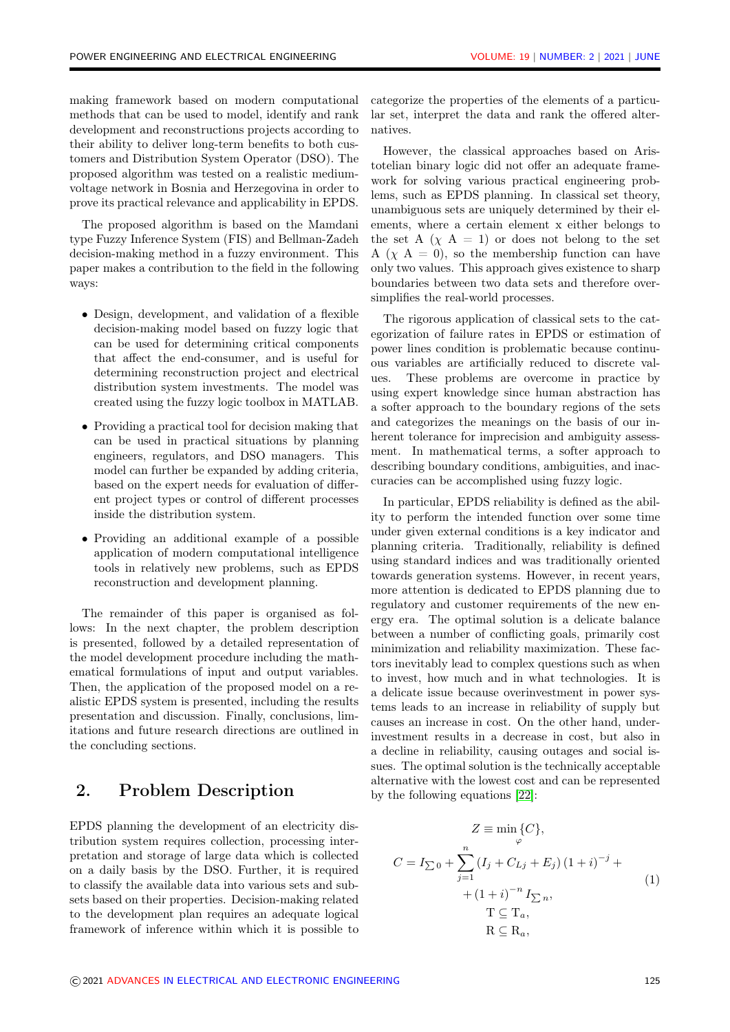making framework based on modern computational methods that can be used to model, identify and rank development and reconstructions projects according to their ability to deliver long-term benefits to both customers and Distribution System Operator (DSO). The proposed algorithm was tested on a realistic mediumvoltage network in Bosnia and Herzegovina in order to prove its practical relevance and applicability in EPDS.

The proposed algorithm is based on the Mamdani type Fuzzy Inference System (FIS) and Bellman-Zadeh decision-making method in a fuzzy environment. This paper makes a contribution to the field in the following ways:

- Design, development, and validation of a flexible decision-making model based on fuzzy logic that can be used for determining critical components that affect the end-consumer, and is useful for determining reconstruction project and electrical distribution system investments. The model was created using the fuzzy logic toolbox in MATLAB.
- Providing a practical tool for decision making that can be used in practical situations by planning engineers, regulators, and DSO managers. This model can further be expanded by adding criteria, based on the expert needs for evaluation of different project types or control of different processes inside the distribution system.
- Providing an additional example of a possible application of modern computational intelligence tools in relatively new problems, such as EPDS reconstruction and development planning.

The remainder of this paper is organised as follows: In the next chapter, the problem description is presented, followed by a detailed representation of the model development procedure including the mathematical formulations of input and output variables. Then, the application of the proposed model on a realistic EPDS system is presented, including the results presentation and discussion. Finally, conclusions, limitations and future research directions are outlined in the concluding sections.

# 2. Problem Description

EPDS planning the development of an electricity distribution system requires collection, processing interpretation and storage of large data which is collected on a daily basis by the DSO. Further, it is required to classify the available data into various sets and subsets based on their properties. Decision-making related to the development plan requires an adequate logical framework of inference within which it is possible to categorize the properties of the elements of a particular set, interpret the data and rank the offered alternatives.

However, the classical approaches based on Aristotelian binary logic did not offer an adequate framework for solving various practical engineering problems, such as EPDS planning. In classical set theory, unambiguous sets are uniquely determined by their elements, where a certain element x either belongs to the set A  $(\chi A = 1)$  or does not belong to the set A  $(\chi A = 0)$ , so the membership function can have only two values. This approach gives existence to sharp boundaries between two data sets and therefore oversimplifies the real-world processes.

The rigorous application of classical sets to the categorization of failure rates in EPDS or estimation of power lines condition is problematic because continuous variables are artificially reduced to discrete values. These problems are overcome in practice by using expert knowledge since human abstraction has a softer approach to the boundary regions of the sets and categorizes the meanings on the basis of our inherent tolerance for imprecision and ambiguity assessment. In mathematical terms, a softer approach to describing boundary conditions, ambiguities, and inaccuracies can be accomplished using fuzzy logic.

In particular, EPDS reliability is defined as the ability to perform the intended function over some time under given external conditions is a key indicator and planning criteria. Traditionally, reliability is defined using standard indices and was traditionally oriented towards generation systems. However, in recent years, more attention is dedicated to EPDS planning due to regulatory and customer requirements of the new energy era. The optimal solution is a delicate balance between a number of conflicting goals, primarily cost minimization and reliability maximization. These factors inevitably lead to complex questions such as when to invest, how much and in what technologies. It is a delicate issue because overinvestment in power systems leads to an increase in reliability of supply but causes an increase in cost. On the other hand, underinvestment results in a decrease in cost, but also in a decline in reliability, causing outages and social issues. The optimal solution is the technically acceptable alternative with the lowest cost and can be represented by the following equations [\[22\]](#page-9-13):

<span id="page-2-0"></span>
$$
Z \equiv \min_{\varphi} \{C\},
$$
  
\n
$$
C = I_{\sum 0} + \sum_{j=1}^{n} (I_j + C_{Lj} + E_j) (1 + i)^{-j} +
$$
  
\n
$$
+ (1 + i)^{-n} I_{\sum n},
$$
  
\n
$$
T \subseteq T_a,
$$
  
\n
$$
R \subseteq R_a,
$$
 (1)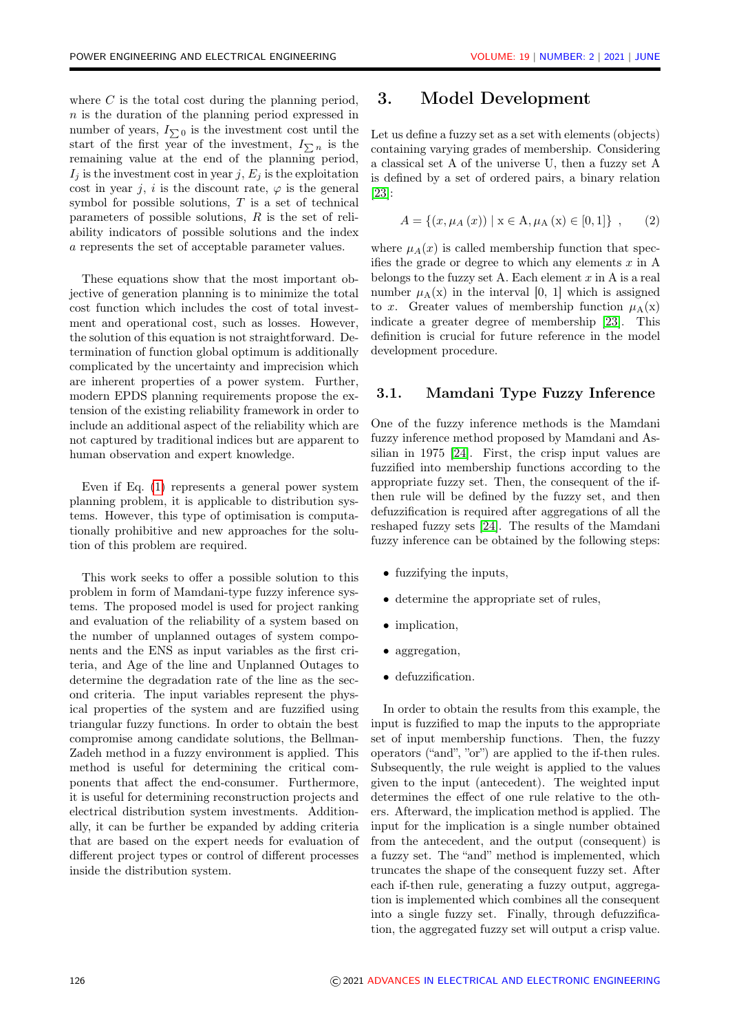where  $C$  is the total cost during the planning period, n is the duration of the planning period expressed in number of years,  $I_{\sum}$ <sup>0</sup> is the investment cost until the start of the first year of the investment,  $I_{\sum n}$  is the remaining value at the end of the planning period,  $I_i$  is the investment cost in year j,  $E_i$  is the exploitation cost in year j, i is the discount rate,  $\varphi$  is the general symbol for possible solutions,  $T$  is a set of technical parameters of possible solutions, R is the set of reliability indicators of possible solutions and the index a represents the set of acceptable parameter values.

These equations show that the most important objective of generation planning is to minimize the total cost function which includes the cost of total investment and operational cost, such as losses. However, the solution of this equation is not straightforward. Determination of function global optimum is additionally complicated by the uncertainty and imprecision which are inherent properties of a power system. Further, modern EPDS planning requirements propose the extension of the existing reliability framework in order to include an additional aspect of the reliability which are not captured by traditional indices but are apparent to human observation and expert knowledge.

Even if Eq. [\(1\)](#page-2-0) represents a general power system planning problem, it is applicable to distribution systems. However, this type of optimisation is computationally prohibitive and new approaches for the solution of this problem are required.

This work seeks to offer a possible solution to this problem in form of Mamdani-type fuzzy inference systems. The proposed model is used for project ranking and evaluation of the reliability of a system based on the number of unplanned outages of system components and the ENS as input variables as the first criteria, and Age of the line and Unplanned Outages to determine the degradation rate of the line as the second criteria. The input variables represent the physical properties of the system and are fuzzified using triangular fuzzy functions. In order to obtain the best compromise among candidate solutions, the Bellman-Zadeh method in a fuzzy environment is applied. This method is useful for determining the critical components that affect the end-consumer. Furthermore, it is useful for determining reconstruction projects and electrical distribution system investments. Additionally, it can be further be expanded by adding criteria that are based on the expert needs for evaluation of different project types or control of different processes inside the distribution system.

### 3. Model Development

Let us define a fuzzy set as a set with elements (objects) containing varying grades of membership. Considering a classical set A of the universe U, then a fuzzy set A is defined by a set of ordered pairs, a binary relation [\[23\]](#page-9-14):

$$
A = \{(x, \mu_A(x)) \mid x \in A, \mu_A(x) \in [0, 1]\}, \quad (2)
$$

where  $\mu_A(x)$  is called membership function that specifies the grade or degree to which any elements  $x$  in A belongs to the fuzzy set A. Each element  $x$  in A is a real number  $\mu_{\Delta}(x)$  in the interval [0, 1] which is assigned to x. Greater values of membership function  $\mu_A(x)$ indicate a greater degree of membership [\[23\]](#page-9-14). This definition is crucial for future reference in the model development procedure.

#### 3.1. Mamdani Type Fuzzy Inference

One of the fuzzy inference methods is the Mamdani fuzzy inference method proposed by Mamdani and Assilian in 1975 [\[24\]](#page-9-15). First, the crisp input values are fuzzified into membership functions according to the appropriate fuzzy set. Then, the consequent of the ifthen rule will be defined by the fuzzy set, and then defuzzification is required after aggregations of all the reshaped fuzzy sets [\[24\]](#page-9-15). The results of the Mamdani fuzzy inference can be obtained by the following steps:

- fuzzifying the inputs,
- determine the appropriate set of rules,
- implication.
- aggregation,
- defuzzification.

In order to obtain the results from this example, the input is fuzzified to map the inputs to the appropriate set of input membership functions. Then, the fuzzy operators ("and", "or") are applied to the if-then rules. Subsequently, the rule weight is applied to the values given to the input (antecedent). The weighted input determines the effect of one rule relative to the others. Afterward, the implication method is applied. The input for the implication is a single number obtained from the antecedent, and the output (consequent) is a fuzzy set. The "and" method is implemented, which truncates the shape of the consequent fuzzy set. After each if-then rule, generating a fuzzy output, aggregation is implemented which combines all the consequent into a single fuzzy set. Finally, through defuzzification, the aggregated fuzzy set will output a crisp value.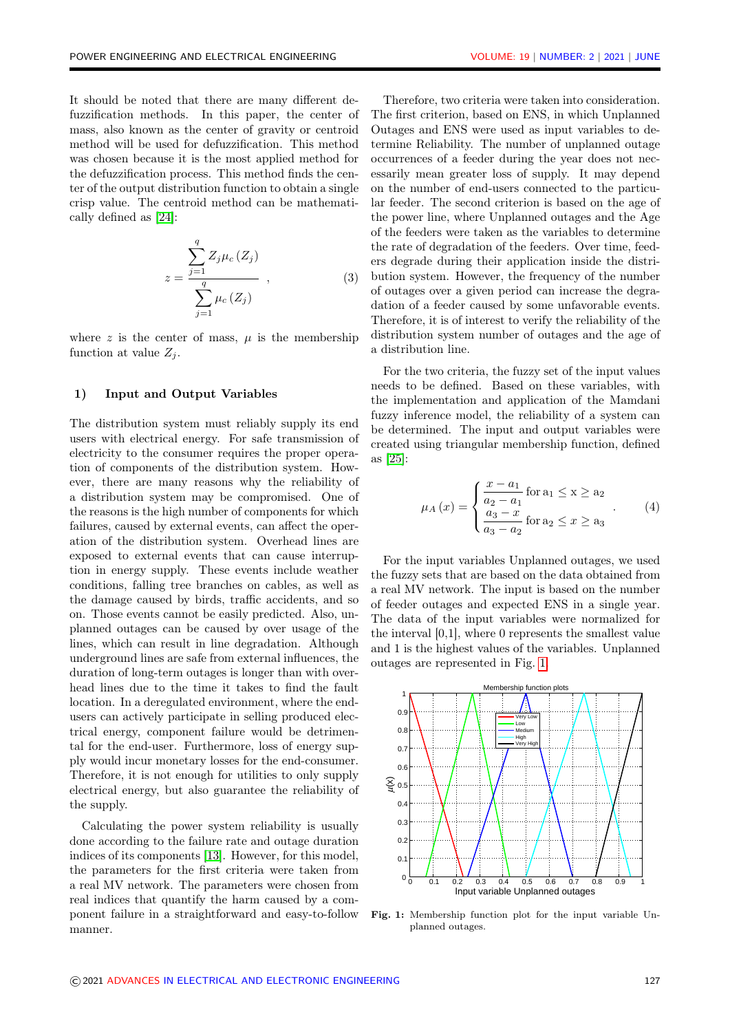It should be noted that there are many different defuzzification methods. In this paper, the center of mass, also known as the center of gravity or centroid method will be used for defuzzification. This method was chosen because it is the most applied method for the defuzzification process. This method finds the center of the output distribution function to obtain a single crisp value. The centroid method can be mathematically defined as [\[24\]](#page-9-15):

$$
z = \frac{\sum_{j=1}^{q} Z_j \mu_c(Z_j)}{\sum_{j=1}^{q} \mu_c(Z_j)},
$$
\n(3)

where z is the center of mass,  $\mu$  is the membership function at value  $Z_i$ .

#### 1) Input and Output Variables

The distribution system must reliably supply its end users with electrical energy. For safe transmission of electricity to the consumer requires the proper operation of components of the distribution system. However, there are many reasons why the reliability of a distribution system may be compromised. One of the reasons is the high number of components for which failures, caused by external events, can affect the operation of the distribution system. Overhead lines are exposed to external events that can cause interruption in energy supply. These events include weather conditions, falling tree branches on cables, as well as the damage caused by birds, traffic accidents, and so on. Those events cannot be easily predicted. Also, unplanned outages can be caused by over usage of the lines, which can result in line degradation. Although underground lines are safe from external influences, the duration of long-term outages is longer than with overhead lines due to the time it takes to find the fault location. In a deregulated environment, where the endusers can actively participate in selling produced electrical energy, component failure would be detrimental for the end-user. Furthermore, loss of energy supply would incur monetary losses for the end-consumer. Therefore, it is not enough for utilities to only supply electrical energy, but also guarantee the reliability of the supply.

Calculating the power system reliability is usually done according to the failure rate and outage duration indices of its components [\[13\]](#page-9-4). However, for this model, the parameters for the first criteria were taken from a real MV network. The parameters were chosen from real indices that quantify the harm caused by a component failure in a straightforward and easy-to-follow manner.

Therefore, two criteria were taken into consideration. The first criterion, based on ENS, in which Unplanned Outages and ENS were used as input variables to determine Reliability. The number of unplanned outage occurrences of a feeder during the year does not necessarily mean greater loss of supply. It may depend on the number of end-users connected to the particular feeder. The second criterion is based on the age of the power line, where Unplanned outages and the Age of the feeders were taken as the variables to determine the rate of degradation of the feeders. Over time, feeders degrade during their application inside the distribution system. However, the frequency of the number of outages over a given period can increase the degradation of a feeder caused by some unfavorable events. Therefore, it is of interest to verify the reliability of the distribution system number of outages and the age of a distribution line.

For the two criteria, the fuzzy set of the input values needs to be defined. Based on these variables, with the implementation and application of the Mamdani fuzzy inference model, the reliability of a system can be determined. The input and output variables were created using triangular membership function, defined as [\[25\]](#page-9-16):

$$
\mu_A(x) = \begin{cases} \frac{x - a_1}{a_2 - a_1} \text{ for a}_1 \le x \ge a_2\\ \frac{a_3 - x}{a_3 - a_2} \text{ for a}_2 \le x \ge a_3 \end{cases} (4)
$$

For the input variables Unplanned outages, we used the fuzzy sets that are based on the data obtained from a real MV network. The input is based on the number of feeder outages and expected ENS in a single year. The data of the input variables were normalized for the interval [0,1], where 0 represents the smallest value and 1 is the highest values of the variables. Unplanned outages are represented in Fig. [1.](#page-4-0)

<span id="page-4-0"></span>

Fig. 1: Membership function plot for the input variable Unplanned outages.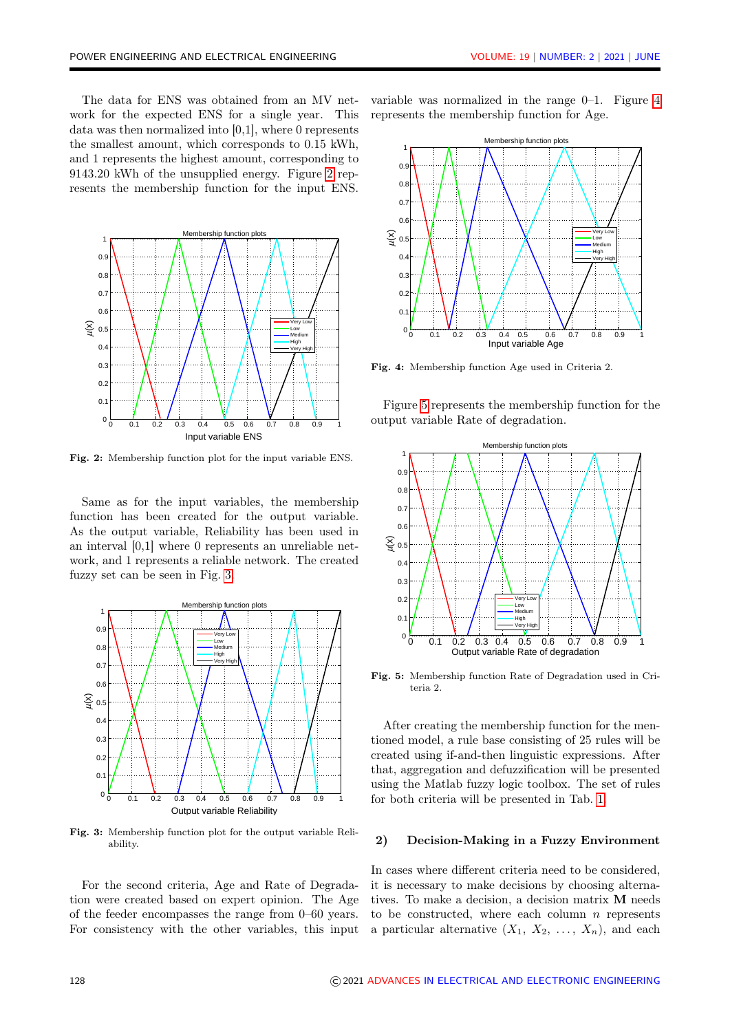The data for ENS was obtained from an MV network for the expected ENS for a single year. This data was then normalized into [0,1], where 0 represents the smallest amount, which corresponds to 0.15 kWh, and 1 represents the highest amount, corresponding to 9143.20 kWh of the unsupplied energy. Figure [2](#page-5-0) represents the membership function for the input ENS.

<span id="page-5-0"></span>

Fig. 2: Membership function plot for the input variable ENS.

Same as for the input variables, the membership function has been created for the output variable. As the output variable, Reliability has been used in an interval [0,1] where 0 represents an unreliable network, and 1 represents a reliable network. The created fuzzy set can be seen in Fig. [3.](#page-5-1)

<span id="page-5-1"></span>

Fig. 3: Membership function plot for the output variable Reliability.

For the second criteria, Age and Rate of Degradation were created based on expert opinion. The Age of the feeder encompasses the range from 0–60 years. For consistency with the other variables, this input variable was normalized in the range 0–1. Figure [4](#page-5-2) represents the membership function for Age.

<span id="page-5-2"></span>

Fig. 4: Membership function Age used in Criteria 2.

Figure [5](#page-5-3) represents the membership function for the output variable Rate of degradation.

<span id="page-5-3"></span>

Fig. 5: Membership function Rate of Degradation used in Criteria 2.

After creating the membership function for the mentioned model, a rule base consisting of 25 rules will be created using if-and-then linguistic expressions. After that, aggregation and defuzzification will be presented using the Matlab fuzzy logic toolbox. The set of rules for both criteria will be presented in Tab. [1.](#page-6-0)

#### 2) Decision-Making in a Fuzzy Environment

In cases where different criteria need to be considered, it is necessary to make decisions by choosing alternatives. To make a decision, a decision matrix M needs to be constructed, where each column  $n$  represents a particular alternative  $(X_1, X_2, \ldots, X_n)$ , and each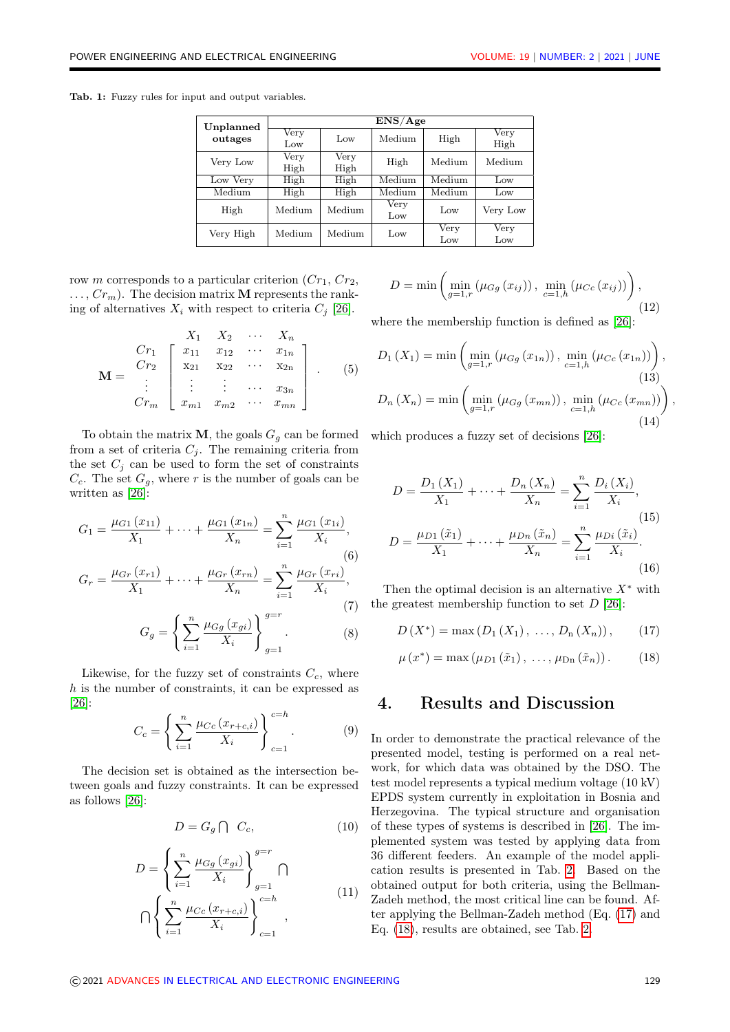<span id="page-6-0"></span>Tab. 1: Fuzzy rules for input and output variables.

| Unplanned<br>outages | ENS/Age                 |              |             |             |              |  |
|----------------------|-------------------------|--------------|-------------|-------------|--------------|--|
|                      | Very<br>Low             | Low          | Medium      | High        | Very<br>High |  |
| Very Low             | Very<br>High            | Very<br>High | High        | Medium      | Medium       |  |
| Low Very             | High                    | High         | Medium      | Medium      | Low          |  |
| Medium               | High                    | High         | Medium      | Medium      | Low          |  |
| High                 | $\operatorname{Median}$ | Medium       | Very<br>Low | Low         | Very Low     |  |
| Very High            | Medium                  | Medium       | Low         | Very<br>Low | Very<br>Low  |  |

row m corresponds to a particular criterion  $(Cr_1, Cr_2,$  $\ldots$ ,  $Cr_m$ ). The decision matrix **M** represents the ranking of alternatives  $X_i$  with respect to criteria  $C_i$  [\[26\]](#page-10-0).

$$
\mathbf{M} = \begin{bmatrix} X_1 & X_2 & \cdots & X_n \\ Cr_1 & x_{11} & x_{12} & \cdots & x_{1n} \\ Cr_2 & x_{21} & x_{22} & \cdots & x_{2n} \\ \vdots & \vdots & \vdots & \cdots & x_{3n} \\ cr_m & x_{m1} & x_{m2} & \cdots & x_{mn} \end{bmatrix} .
$$
 (5)

To obtain the matrix **M**, the goals  $G<sub>q</sub>$  can be formed from a set of criteria  $C_i$ . The remaining criteria from the set  $C_i$  can be used to form the set of constraints  $C_c$ . The set  $G_q$ , where r is the number of goals can be written as [\[26\]](#page-10-0):

$$
G_1 = \frac{\mu_{G1}(x_{11})}{X_1} + \dots + \frac{\mu_{G1}(x_{1n})}{X_n} = \sum_{i=1}^n \frac{\mu_{G1}(x_{1i})}{X_i},
$$
\n(6)\n
$$
G_r = \frac{\mu_{Gr}(x_{r1})}{X_1} + \dots + \frac{\mu_{Gr}(x_{rn})}{X_n} = \sum_{i=1}^n \frac{\mu_{Gr}(x_{ri})}{X_i},
$$
\n(7)\n
$$
G_g = \left\{ \sum_{i=1}^n \frac{\mu_{Gg}(x_{gi})}{X_i} \right\}_{g=1}^{g=r}.
$$
\n(8)

Likewise, for the fuzzy set of constraints  $C_c$ , where h is the number of constraints, it can be expressed as [\[26\]](#page-10-0):

$$
C_c = \left\{ \sum_{i=1}^{n} \frac{\mu_{Cc}(x_{r+c,i})}{X_i} \right\}_{c=1}^{c=h}.
$$
 (9)

The decision set is obtained as the intersection between goals and fuzzy constraints. It can be expressed as follows [\[26\]](#page-10-0):

$$
D = G_g \cap C_c, \tag{10}
$$

$$
D = \left\{ \sum_{i=1}^{n} \frac{\mu_{Gg}(x_{gi})}{X_i} \right\}_{g=1}^{g=r} \cap \left\{ \sum_{i=1}^{n} \frac{\mu_{Cc}(x_{r+c,i})}{X_i} \right\}_{c=1}^{c=h} ,
$$
 (11)

$$
D = \min \left( \min_{g=1,r} \left( \mu_{Gg} (x_{ij}) \right), \min_{c=1,h} \left( \mu_{Cc} (x_{ij}) \right) \right), \tag{12}
$$

where the membership function is defined as [\[26\]](#page-10-0):

$$
D_{1}(X_{1}) = \min \left( \min_{g=1,r} (\mu_{Gg}(x_{1n})) , \min_{c=1,h} (\mu_{Cc}(x_{1n})) \right),
$$
\n(13)\n
$$
D_{n}(X_{n}) = \min \left( \min_{g=1,r} (\mu_{Gg}(x_{mn})) , \min_{c=1,h} (\mu_{Cc}(x_{mn})) \right)
$$
\n(14)

which produces a fuzzy set of decisions [\[26\]](#page-10-0):

$$
D = \frac{D_1(X_1)}{X_1} + \dots + \frac{D_n(X_n)}{X_n} = \sum_{i=1}^n \frac{D_i(X_i)}{X_i},
$$
  
\n
$$
D = \frac{\mu_{D1}(\tilde{x}_1)}{X_1} + \dots + \frac{\mu_{Dn}(\tilde{x}_n)}{X_n} = \sum_{i=1}^n \frac{\mu_{Di}(\tilde{x}_i)}{X_i}.
$$
\n(16)

Then the optimal decision is an alternative  $X^*$  with the greatest membership function to set  $D$  [\[26\]](#page-10-0):

<span id="page-6-1"></span>
$$
D(X^*) = \max(D_1(X_1), \ldots, D_n(X_n)), \qquad (17)
$$

<span id="page-6-2"></span>
$$
\mu(x^*) = \max(\mu_{D1}(\tilde{x}_1), \ldots, \mu_{Dn}(\tilde{x}_n)). \qquad (18)
$$

### 4. Results and Discussion

In order to demonstrate the practical relevance of the presented model, testing is performed on a real network, for which data was obtained by the DSO. The test model represents a typical medium voltage (10 kV) EPDS system currently in exploitation in Bosnia and Herzegovina. The typical structure and organisation of these types of systems is described in [\[26\]](#page-10-0). The implemented system was tested by applying data from 36 different feeders. An example of the model application results is presented in Tab. [2.](#page-7-0) Based on the obtained output for both criteria, using the Bellman-Zadeh method, the most critical line can be found. After applying the Bellman-Zadeh method (Eq. [\(17\)](#page-6-1) and Eq. [\(18\)](#page-6-2), results are obtained, see Tab. [2.](#page-7-0)

,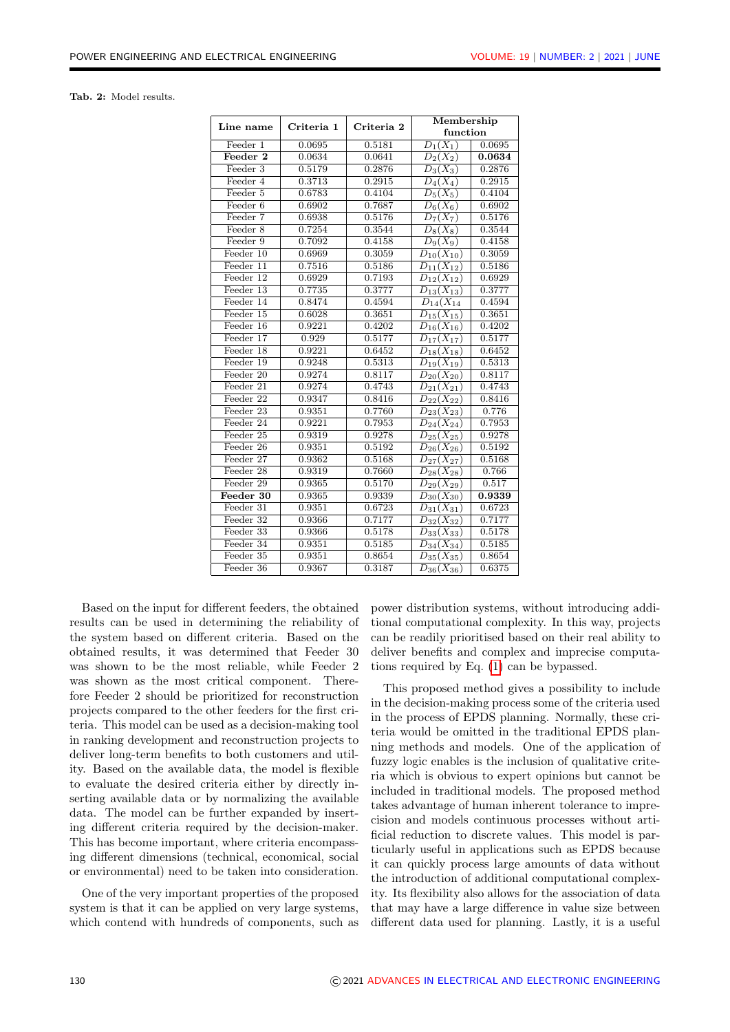<span id="page-7-0"></span>Tab. 2: Model results.

| Line name   | Criteria 1          | Criteria 2 | Membership<br>function      |                     |
|-------------|---------------------|------------|-----------------------------|---------------------|
| Feeder 1    | 0.0695              | 0.5181     | $D_1(X_1)$                  | 0.0695              |
| Feeder 2    | 0.0634              | 0.0641     | $D_2(X_2)$                  | 0.0634              |
| Feeder 3    | 0.5179              | 0.2876     | $D_3(X_3)$                  | 0.2876              |
| Feeder 4    | 0.3713              | 0.2915     | $D_4(X_4)$                  | 0.2915              |
| Feeder 5    | 0.6783              | 0.4104     | $D_5(X_5)$                  | 0.4104              |
| Feeder $6$  | 0.6902              | 0.7687     | $D_6(X_6)$                  | 0.6902              |
| Feeder 7    | 0.6938              | 0.5176     | $\overline{D_7(X_7)}$       | 0.5176              |
| Feeder 8    | 0.7254              | 0.3544     | $D_8(X_8)$                  | 0.3544              |
| Feeder 9    | 0.7092              | 0.4158     | $D_9(X_9)$                  | 0.4158              |
| Feeder 10   | 0.6969              | 0.3059     | $D_{10}(X_{10})$            | 0.3059              |
| Feeder 11   | 0.7516              | 0.5186     | $\overline{D}_{11}(X_{12})$ | 0.5186              |
| Feeder 12   | 0.6929              | 0.7193     | $D_{12}(X_{12})$            | 0.6929              |
| Feeder 13   | 0.7735              | 0.3777     | $\overline{D_{13}}(X_{13})$ | 0.3777              |
| Feeder 14   | 0.8474              | 0.4594     | $\overline{D_{14}}(X_{14})$ | 0.4594              |
| Feeder 15   | 0.6028              | 0.3651     | $D_{15}(X_{15})$            | 0.3651              |
| Feeder 16   | 0.9221              | 0.4202     | $D_{16}(X_{16})$            | 0.4202              |
| Feeder 17   | 0.929               | 0.5177     | $D_{17}(X_{17})$            | 0.5177              |
| Feeder 18   | 0.9221              | 0.6452     | $D_{18}(X_{18})$            | 0.6452              |
| Feeder 19   | 0.9248              | 0.5313     | $\overline{D_{19}(X_{19})}$ | 0.5313              |
| Feeder 20   | 0.9274              | 0.8117     | $\overline{D_{20}(X_{20})}$ | 0.8117              |
| Feeder 21   | 0.9274              | 0.4743     | $D_{21}(X_{21})$            | 0.4743              |
| Feeder 22   | 0.9347              | 0.8416     | $D_{22}(X_{22})$            | 0.8416              |
| Feeder 23   | 0.9351              | 0.7760     | $D_{23}(X_{23})$            | 0.776               |
| Feeder 24   | 0.9221              | 0.7953     | $D_{24}(X_{24})$            | 0.7953              |
| Feeder 25   | 0.9319              | 0.9278     | $D_{25}(X_{25})$            | $0.\overline{9278}$ |
| Feeder 26   | 0.9351              | 0.5192     | $D_{26}(X_{26})$            | 0.5192              |
| Feeder 27   | 0.9362              | 0.5168     | $D_{27}(X_{27})$            | 0.5168              |
| Feeder 28   | 0.9319              | 0.7660     | $D_{28}(X_{28})$            | 0.766               |
| Feeder 29   | $0.\overline{9365}$ | 0.5170     | $D_{29}(X_{29})$            | 0.517               |
| Feeder 30   | 0.9365              | 0.9339     | $D_{30}(X_{30})$            | 0.9339              |
| Feeder 31   | 0.9351              | 0.6723     | $D_{31}(X_{31})$            | 0.6723              |
| Feeder 32   | 0.9366              | 0.7177     | $\overline{D_{32}(X_{32})}$ | 0.7177              |
| Feeder $33$ | 0.9366              | 0.5178     | $\overline{D}_{33}(X_{33})$ | 0.5178              |
| Feeder 34   | 0.9351              | 0.5185     | $D_{34}(X_{34})$            | 0.5185              |
| Feeder 35   | 0.9351              | 0.8654     | $D_{35}(X_{35})$            | 0.8654              |
| Feeder 36   | 0.9367              | 0.3187     | $\overline{D_{36}(X_{36})}$ | 0.6375              |

Based on the input for different feeders, the obtained results can be used in determining the reliability of the system based on different criteria. Based on the obtained results, it was determined that Feeder 30 was shown to be the most reliable, while Feeder 2 was shown as the most critical component. Therefore Feeder 2 should be prioritized for reconstruction projects compared to the other feeders for the first criteria. This model can be used as a decision-making tool in ranking development and reconstruction projects to deliver long-term benefits to both customers and utility. Based on the available data, the model is flexible to evaluate the desired criteria either by directly inserting available data or by normalizing the available data. The model can be further expanded by inserting different criteria required by the decision-maker. This has become important, where criteria encompassing different dimensions (technical, economical, social or environmental) need to be taken into consideration.

One of the very important properties of the proposed system is that it can be applied on very large systems. which contend with hundreds of components, such as power distribution systems, without introducing additional computational complexity. In this way, projects can be readily prioritised based on their real ability to deliver benefits and complex and imprecise computations required by Eq. [\(1\)](#page-2-0) can be bypassed.

This proposed method gives a possibility to include in the decision-making process some of the criteria used in the process of EPDS planning. Normally, these criteria would be omitted in the traditional EPDS planning methods and models. One of the application of fuzzy logic enables is the inclusion of qualitative criteria which is obvious to expert opinions but cannot be included in traditional models. The proposed method takes advantage of human inherent tolerance to imprecision and models continuous processes without artificial reduction to discrete values. This model is particularly useful in applications such as EPDS because it can quickly process large amounts of data without the introduction of additional computational complexity. Its flexibility also allows for the association of data that may have a large difference in value size between different data used for planning. Lastly, it is a useful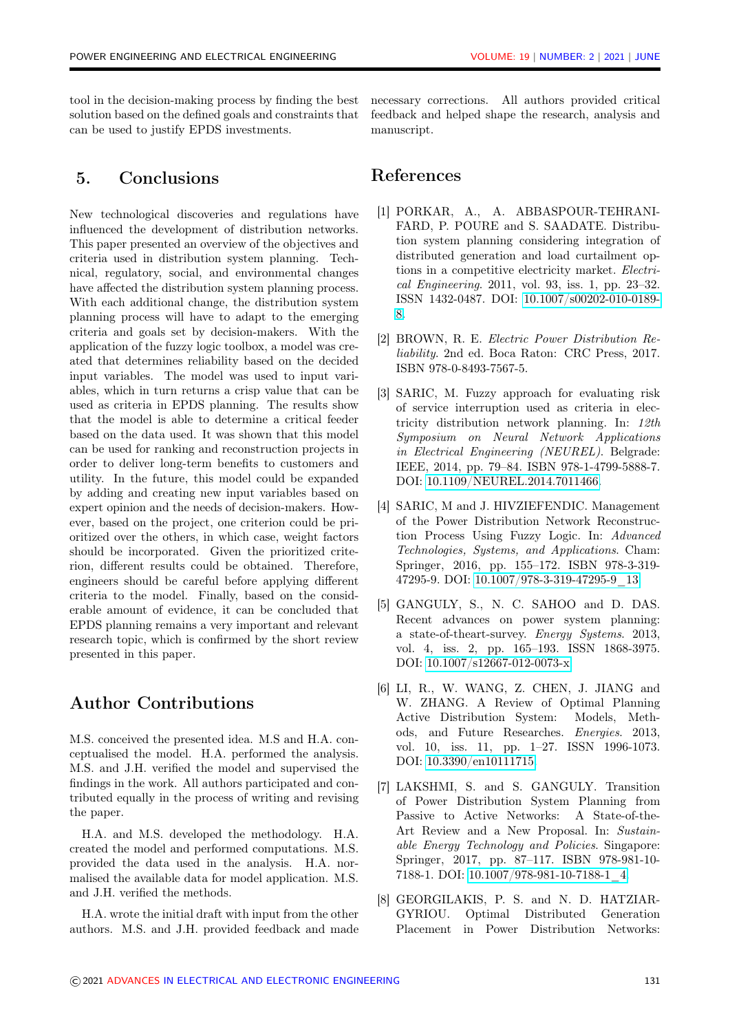tool in the decision-making process by finding the best solution based on the defined goals and constraints that can be used to justify EPDS investments.

# 5. Conclusions

New technological discoveries and regulations have influenced the development of distribution networks. This paper presented an overview of the objectives and criteria used in distribution system planning. Technical, regulatory, social, and environmental changes have affected the distribution system planning process. With each additional change, the distribution system planning process will have to adapt to the emerging criteria and goals set by decision-makers. With the application of the fuzzy logic toolbox, a model was created that determines reliability based on the decided input variables. The model was used to input variables, which in turn returns a crisp value that can be used as criteria in EPDS planning. The results show that the model is able to determine a critical feeder based on the data used. It was shown that this model can be used for ranking and reconstruction projects in order to deliver long-term benefits to customers and utility. In the future, this model could be expanded by adding and creating new input variables based on expert opinion and the needs of decision-makers. However, based on the project, one criterion could be prioritized over the others, in which case, weight factors should be incorporated. Given the prioritized criterion, different results could be obtained. Therefore, engineers should be careful before applying different criteria to the model. Finally, based on the considerable amount of evidence, it can be concluded that EPDS planning remains a very important and relevant research topic, which is confirmed by the short review presented in this paper.

## Author Contributions

M.S. conceived the presented idea. M.S and H.A. conceptualised the model. H.A. performed the analysis. M.S. and J.H. verified the model and supervised the findings in the work. All authors participated and contributed equally in the process of writing and revising the paper.

H.A. and M.S. developed the methodology. H.A. created the model and performed computations. M.S. provided the data used in the analysis. H.A. normalised the available data for model application. M.S. and J.H. verified the methods.

H.A. wrote the initial draft with input from the other authors. M.S. and J.H. provided feedback and made necessary corrections. All authors provided critical feedback and helped shape the research, analysis and manuscript.

### References

- <span id="page-8-0"></span>[1] PORKAR, A., A. ABBASPOUR-TEHRANI-FARD, P. POURE and S. SAADATE. Distribution system planning considering integration of distributed generation and load curtailment options in a competitive electricity market. Electrical Engineering. 2011, vol. 93, iss. 1, pp. 23–32. ISSN 1432-0487. DOI: [10.1007/s00202-010-0189-](http://doi.org/10.1007/s00202-010-0189-8) [8.](http://doi.org/10.1007/s00202-010-0189-8)
- <span id="page-8-1"></span>[2] BROWN, R. E. Electric Power Distribution Reliability. 2nd ed. Boca Raton: CRC Press, 2017. ISBN 978-0-8493-7567-5.
- <span id="page-8-2"></span>[3] SARIC, M. Fuzzy approach for evaluating risk of service interruption used as criteria in electricity distribution network planning. In: 12th Symposium on Neural Network Applications in Electrical Engineering (NEUREL). Belgrade: IEEE, 2014, pp. 79–84. ISBN 978-1-4799-5888-7. DOI: [10.1109/NEUREL.2014.7011466.](http://doi.org/10.1109/NEUREL.2014.7011466)
- <span id="page-8-3"></span>[4] SARIC, M and J. HIVZIEFENDIC. Management of the Power Distribution Network Reconstruction Process Using Fuzzy Logic. In: Advanced Technologies, Systems, and Applications. Cham: Springer, 2016, pp. 155–172. ISBN 978-3-319- 47295-9. DOI: [10.1007/978-3-319-47295-9\\_13.](http://doi.org/10.1007/978-3-319-47295-9_13)
- <span id="page-8-4"></span>[5] GANGULY, S., N. C. SAHOO and D. DAS. Recent advances on power system planning: a state-of-theart-survey. Energy Systems. 2013, vol. 4, iss. 2, pp. 165–193. ISSN 1868-3975. DOI: [10.1007/s12667-012-0073-x.](http://doi.org/10.1007/s12667-012-0073-x)
- <span id="page-8-5"></span>[6] LI, R., W. WANG, Z. CHEN, J. JIANG and W. ZHANG. A Review of Optimal Planning Active Distribution System: Models, Methods, and Future Researches. Energies. 2013, vol. 10, iss. 11, pp. 1-27. ISSN 1996-1073. DOI: [10.3390/en10111715.](http://doi.org/10.3390/en10111715)
- <span id="page-8-6"></span>[7] LAKSHMI, S. and S. GANGULY. Transition of Power Distribution System Planning from Passive to Active Networks: A State-of-the-Art Review and a New Proposal. In: Sustainable Energy Technology and Policies. Singapore: Springer, 2017, pp. 87–117. ISBN 978-981-10- 7188-1. DOI: [10.1007/978-981-10-7188-1\\_4.](http://doi.org/10.1007/978-981-10-7188-1_4)
- <span id="page-8-7"></span>[8] GEORGILAKIS, P. S. and N. D. HATZIAR-GYRIOU. Optimal Distributed Generation Placement in Power Distribution Networks: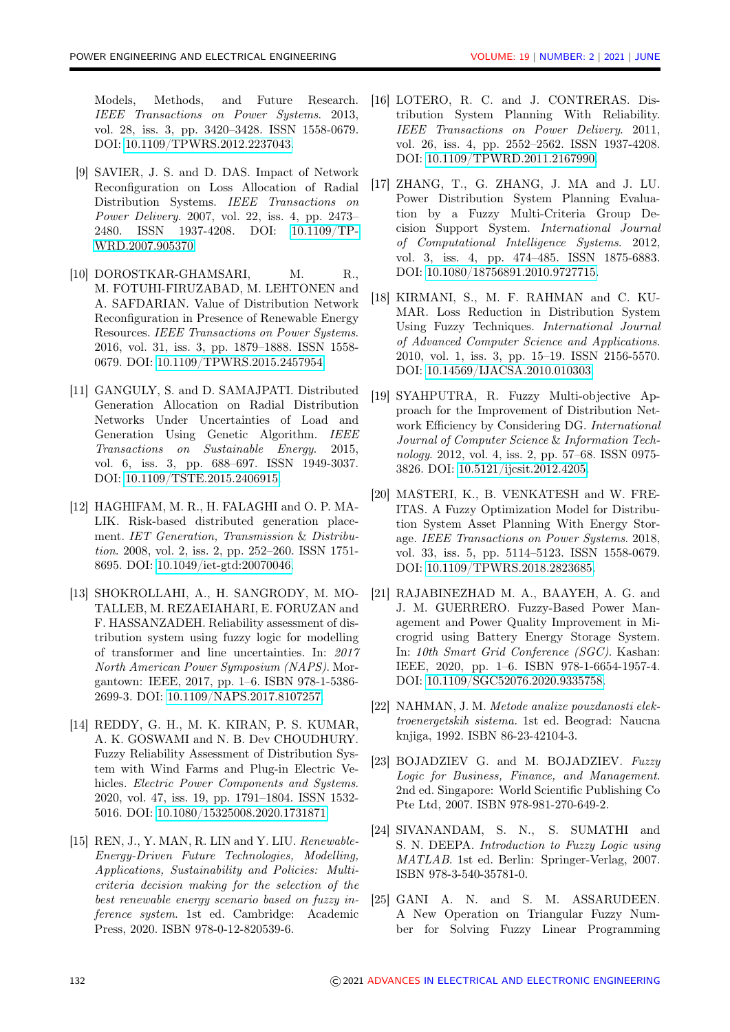Models, Methods, and Future Research. IEEE Transactions on Power Systems. 2013, vol. 28, iss. 3, pp. 3420–3428. ISSN 1558-0679. DOI: [10.1109/TPWRS.2012.2237043.](http://doi.org/10.1109/TPWRS.2012.2237043)

- <span id="page-9-0"></span>[9] SAVIER, J. S. and D. DAS. Impact of Network Reconfiguration on Loss Allocation of Radial Distribution Systems. IEEE Transactions on Power Delivery. 2007, vol. 22, iss. 4, pp. 2473– 2480. ISSN 1937-4208. DOI: [10.1109/TP-](http://doi.org/10.1109/TPWRD.2007.905370)[WRD.2007.905370.](http://doi.org/10.1109/TPWRD.2007.905370)
- <span id="page-9-1"></span>[10] DOROSTKAR-GHAMSARI, M. R., M. FOTUHI-FIRUZABAD, M. LEHTONEN and A. SAFDARIAN. Value of Distribution Network Reconfiguration in Presence of Renewable Energy Resources. IEEE Transactions on Power Systems. 2016, vol. 31, iss. 3, pp. 1879–1888. ISSN 1558- 0679. DOI: [10.1109/TPWRS.2015.2457954.](http://doi.org/10.1109/TPWRS.2015.2457954)
- <span id="page-9-2"></span>[11] GANGULY, S. and D. SAMAJPATI. Distributed Generation Allocation on Radial Distribution Networks Under Uncertainties of Load and Generation Using Genetic Algorithm. IEEE Transactions on Sustainable Energy. 2015, vol. 6, iss. 3, pp. 688–697. ISSN 1949-3037. DOI: [10.1109/TSTE.2015.2406915.](http://doi.org/10.1109/TSTE.2015.2406915)
- <span id="page-9-3"></span>[12] HAGHIFAM, M. R., H. FALAGHI and O. P. MA-LIK. Risk-based distributed generation placement. IET Generation, Transmission & Distribution. 2008, vol. 2, iss. 2, pp. 252–260. ISSN 1751- 8695. DOI: [10.1049/iet-gtd:20070046.](http://doi.org/10.1049/iet-gtd:20070046)
- <span id="page-9-4"></span>[13] SHOKROLLAHI, A., H. SANGRODY, M. MO-TALLEB, M. REZAEIAHARI, E. FORUZAN and F. HASSANZADEH. Reliability assessment of distribution system using fuzzy logic for modelling of transformer and line uncertainties. In: 2017 North American Power Symposium (NAPS). Morgantown: IEEE, 2017, pp. 1–6. ISBN 978-1-5386- 2699-3. DOI: [10.1109/NAPS.2017.8107257.](http://doi.org/10.1109/NAPS.2017.8107257)
- <span id="page-9-5"></span>[14] REDDY, G. H., M. K. KIRAN, P. S. KUMAR, A. K. GOSWAMI and N. B. Dev CHOUDHURY. Fuzzy Reliability Assessment of Distribution System with Wind Farms and Plug-in Electric Vehicles. Electric Power Components and Systems. 2020, vol. 47, iss. 19, pp. 1791–1804. ISSN 1532- 5016. DOI: [10.1080/15325008.2020.1731871.](http://doi.org/10.1080/15325008.2020.1731871 )
- <span id="page-9-6"></span>[15] REN, J., Y. MAN, R. LIN and Y. LIU. Renewable-Energy-Driven Future Technologies, Modelling, Applications, Sustainability and Policies: Multicriteria decision making for the selection of the best renewable energy scenario based on fuzzy inference system. 1st ed. Cambridge: Academic Press, 2020. ISBN 978-0-12-820539-6.
- <span id="page-9-7"></span>[16] LOTERO, R. C. and J. CONTRERAS. Distribution System Planning With Reliability. IEEE Transactions on Power Delivery. 2011, vol. 26, iss. 4, pp. 2552–2562. ISSN 1937-4208. DOI: [10.1109/TPWRD.2011.2167990.](http://doi.org/10.1109/TPWRD.2011.2167990)
- <span id="page-9-8"></span>[17] ZHANG, T., G. ZHANG, J. MA and J. LU. Power Distribution System Planning Evaluation by a Fuzzy Multi-Criteria Group Decision Support System. International Journal of Computational Intelligence Systems. 2012, vol. 3, iss. 4, pp. 474–485. ISSN 1875-6883. DOI: [10.1080/18756891.2010.9727715.](http://doi.org/10.1080/18756891.2010.9727715)
- <span id="page-9-9"></span>[18] KIRMANI, S., M. F. RAHMAN and C. KU-MAR. Loss Reduction in Distribution System Using Fuzzy Techniques. International Journal of Advanced Computer Science and Applications. 2010, vol. 1, iss. 3, pp. 15–19. ISSN 2156-5570. DOI: [10.14569/IJACSA.2010.010303.](http://doi.org/10.14569/IJACSA.2010.010303)
- <span id="page-9-10"></span>[19] SYAHPUTRA, R. Fuzzy Multi-objective Approach for the Improvement of Distribution Network Efficiency by Considering DG. International Journal of Computer Science & Information Technology. 2012, vol. 4, iss. 2, pp. 57–68. ISSN 0975- 3826. DOI: [10.5121/ijcsit.2012.4205.](http://doi.org/10.5121/ijcsit.2012.4205)
- <span id="page-9-11"></span>[20] MASTERI, K., B. VENKATESH and W. FRE-ITAS. A Fuzzy Optimization Model for Distribution System Asset Planning With Energy Storage. IEEE Transactions on Power Systems. 2018, vol. 33, iss. 5, pp. 5114–5123. ISSN 1558-0679. DOI: [10.1109/TPWRS.2018.2823685.](http://doi.org/10.1109/TPWRS.2018.2823685)
- <span id="page-9-12"></span>[21] RAJABINEZHAD M. A., BAAYEH, A. G. and J. M. GUERRERO. Fuzzy-Based Power Management and Power Quality Improvement in Microgrid using Battery Energy Storage System. In: 10th Smart Grid Conference (SGC). Kashan: IEEE, 2020, pp. 1–6. ISBN 978-1-6654-1957-4. DOI: [10.1109/SGC52076.2020.9335758.](http://doi.org/10.1109/SGC52076.2020.9335758)
- <span id="page-9-13"></span>[22] NAHMAN, J. M. Metode analize pouzdanosti elektroenergetskih sistema. 1st ed. Beograd: Naucna knjiga, 1992. ISBN 86-23-42104-3.
- <span id="page-9-14"></span>[23] BOJADZIEV G. and M. BOJADZIEV. Fuzzy Logic for Business, Finance, and Management. 2nd ed. Singapore: World Scientific Publishing Co Pte Ltd, 2007. ISBN 978-981-270-649-2.
- <span id="page-9-15"></span>[24] SIVANANDAM, S. N., S. SUMATHI and S. N. DEEPA. Introduction to Fuzzy Logic using MATLAB. 1st ed. Berlin: Springer-Verlag, 2007. ISBN 978-3-540-35781-0.
- <span id="page-9-16"></span>[25] GANI A. N. and S. M. ASSARUDEEN. A New Operation on Triangular Fuzzy Number for Solving Fuzzy Linear Programming